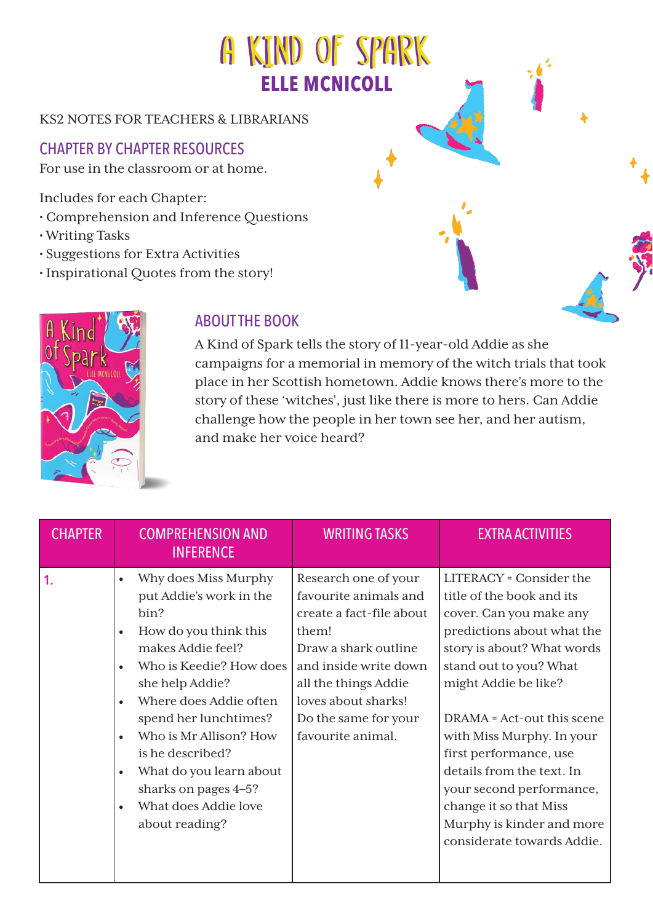## KS2 NOTES FOR TEACHERS & LIBRARIANS

## CHAPTER BY CHAPTER RESOURCES

For use in the classroom or at home.

Includes for each Chapter:

- Comprehension and Inference Questions
- Writing Tasks
- Suggestions for Extra Activities
- Inspirational Quotes from the story!



## ABOUT THE BOOK

A Kind of Spark tells the story of 11-year-old Addie as she campaigns for a memorial in memory of the witch trials that took place in her Scottish hometown. Addie knows there's more to the story of these 'witches', just like there is more to hers. Can Addie challenge how the people in her town see her, and her autism, and make her voice heard?

| <b>CHAPTER</b> | <b>COMPREHENSION AND</b><br><b>INFERENCE</b>                                                                                                                                                                                                                                                                                                                                             | <b>WRITING TASKS</b>                                                                                                                                                                                                            | <b>EXTRA ACTIVITIES</b>                                                                                                                                                                                                                                                                                                                                                                                                                 |
|----------------|------------------------------------------------------------------------------------------------------------------------------------------------------------------------------------------------------------------------------------------------------------------------------------------------------------------------------------------------------------------------------------------|---------------------------------------------------------------------------------------------------------------------------------------------------------------------------------------------------------------------------------|-----------------------------------------------------------------------------------------------------------------------------------------------------------------------------------------------------------------------------------------------------------------------------------------------------------------------------------------------------------------------------------------------------------------------------------------|
| $\mathbf{1}$   | Why does Miss Murphy<br>$\bullet$<br>put Addie's work in the<br>bin?<br>How do you think this<br>$\bullet$<br>makes Addie feel?<br>Who is Keedie? How does<br>$\bullet$<br>she help Addie?<br>Where does Addie often<br>spend her lunchtimes?<br>Who is Mr Allison? How<br>is he described?<br>What do you learn about<br>sharks on pages 4–5?<br>What does Addie love<br>about reading? | Research one of your<br>favourite animals and<br>create a fact-file about<br>them!<br>Draw a shark outline<br>and inside write down<br>all the things Addie<br>loves about sharks!<br>Do the same for your<br>favourite animal. | <b>LITERACY</b> = Consider the<br>title of the book and its<br>cover. Can you make any<br>predictions about what the<br>story is about? What words<br>stand out to you? What<br>might Addie be like?<br>DRAMA = Act-out this scene<br>with Miss Murphy. In your<br>first performance, use<br>details from the text. In<br>your second performance,<br>change it so that Miss<br>Murphy is kinder and more<br>considerate towards Addie. |

A KIND OF SPARK

**ELLE MCNICOLL**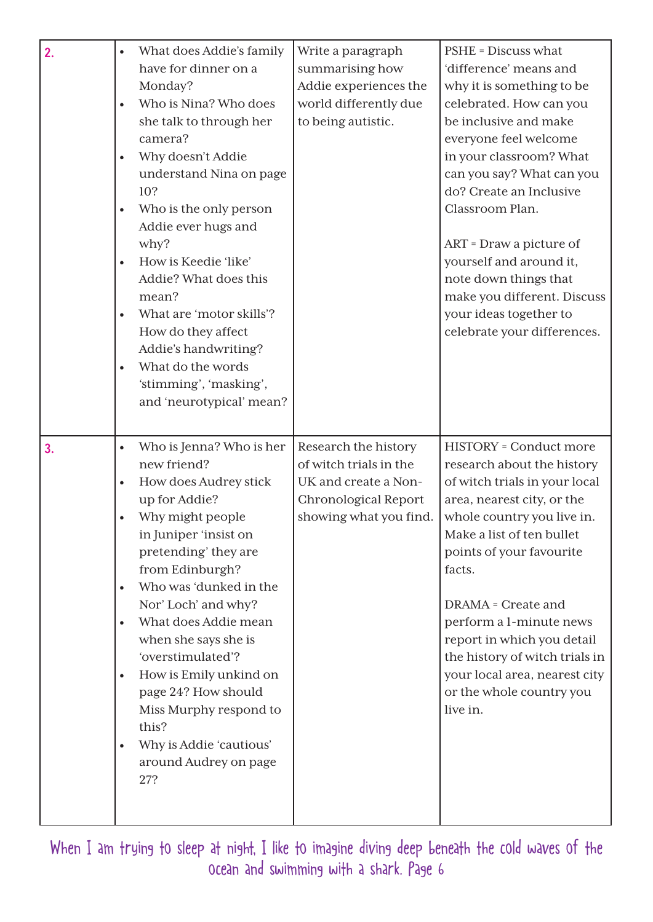| 2. | What does Addie's family<br>have for dinner on a<br>Monday?<br>Who is Nina? Who does<br>$\bullet$<br>she talk to through her<br>camera?<br>Why doesn't Addie<br>$\bullet$<br>understand Nina on page<br>10?<br>Who is the only person<br>$\bullet$<br>Addie ever hugs and<br>why?<br>How is Keedie 'like'<br>$\bullet$<br>Addie? What does this<br>mean?<br>What are 'motor skills'?<br>$\bullet$<br>How do they affect<br>Addie's handwriting?<br>What do the words<br>$\bullet$<br>'stimming', 'masking',<br>and 'neurotypical' mean?   | Write a paragraph<br>summarising how<br>Addie experiences the<br>world differently due<br>to being autistic.             | <b>PSHE</b> = Discuss what<br>'difference' means and<br>why it is something to be<br>celebrated. How can you<br>be inclusive and make<br>everyone feel welcome<br>in your classroom? What<br>can you say? What can you<br>do? Create an Inclusive<br>Classroom Plan.<br>ART = Draw a picture of<br>yourself and around it,<br>note down things that<br>make you different. Discuss<br>your ideas together to<br>celebrate your differences. |
|----|-------------------------------------------------------------------------------------------------------------------------------------------------------------------------------------------------------------------------------------------------------------------------------------------------------------------------------------------------------------------------------------------------------------------------------------------------------------------------------------------------------------------------------------------|--------------------------------------------------------------------------------------------------------------------------|---------------------------------------------------------------------------------------------------------------------------------------------------------------------------------------------------------------------------------------------------------------------------------------------------------------------------------------------------------------------------------------------------------------------------------------------|
| 3. | Who is Jenna? Who is her<br>$\bullet$<br>new friend?<br>How does Audrey stick<br>$\bullet$<br>up for Addie?<br>Why might people<br>$\bullet$<br>in Juniper 'insist on<br>pretending' they are<br>from Edinburgh?<br>Who was 'dunked in the<br>$\bullet$<br>Nor' Loch' and why?<br>What does Addie mean<br>$\bullet$<br>when she says she is<br>'overstimulated'?<br>How is Emily unkind on<br>$\bullet$<br>page 24? How should<br>Miss Murphy respond to<br>this?<br>Why is Addie 'cautious'<br>$\bullet$<br>around Audrey on page<br>27? | Research the history<br>of witch trials in the<br>UK and create a Non-<br>Chronological Report<br>showing what you find. | <b>HISTORY</b> = Conduct more<br>research about the history<br>of witch trials in your local<br>area, nearest city, or the<br>whole country you live in.<br>Make a list of ten bullet<br>points of your favourite<br>facts.<br><b>DRAMA</b> = Create and<br>perform a 1-minute news<br>report in which you detail<br>the history of witch trials in<br>your local area, nearest city<br>or the whole country you<br>live in.                |

When I am trying to sleep at night, I like to imagine diving deep beneath the cold waves of the ocean and swimming with a shark. Page 6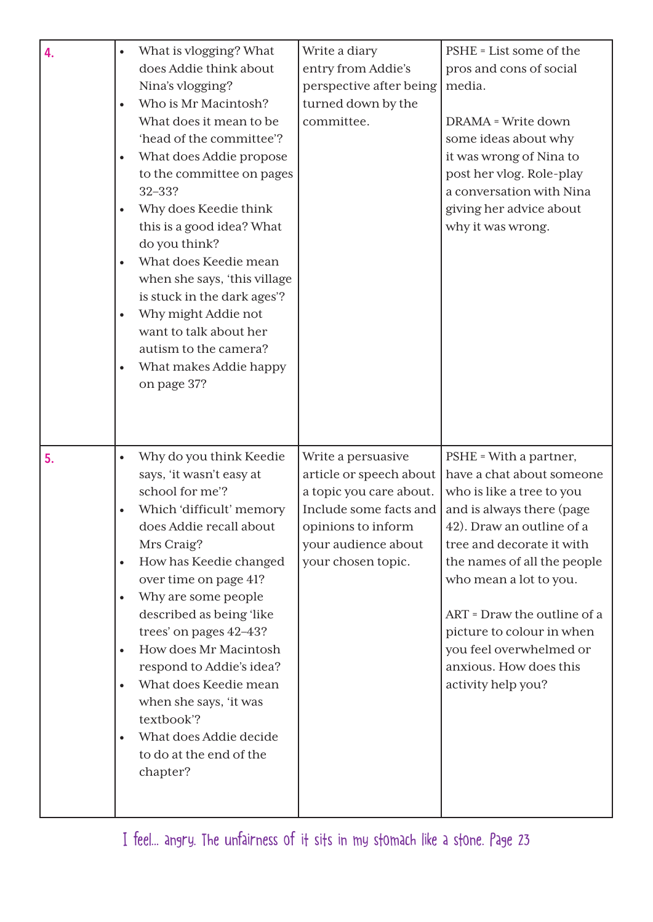| 4. | What is vlogging? What<br>$\bullet$<br>does Addie think about<br>Nina's vlogging?<br>Who is Mr Macintosh?<br>$\bullet$<br>What does it mean to be<br>'head of the committee'?<br>What does Addie propose<br>$\bullet$<br>to the committee on pages<br>$32 - 33?$<br>Why does Keedie think<br>$\bullet$<br>this is a good idea? What<br>do you think?<br>What does Keedie mean<br>$\bullet$<br>when she says, 'this village<br>is stuck in the dark ages'?<br>Why might Addie not<br>$\bullet$<br>want to talk about her<br>autism to the camera?<br>What makes Addie happy<br>$\bullet$<br>on page 37? | Write a diary<br>entry from Addie's<br>perspective after being<br>turned down by the<br>committee.                                                                    | PSHE = List some of the<br>pros and cons of social<br>media.<br>DRAMA = Write down<br>some ideas about why<br>it was wrong of Nina to<br>post her vlog. Role-play<br>a conversation with Nina<br>giving her advice about<br>why it was wrong.                                                                                                                           |
|----|--------------------------------------------------------------------------------------------------------------------------------------------------------------------------------------------------------------------------------------------------------------------------------------------------------------------------------------------------------------------------------------------------------------------------------------------------------------------------------------------------------------------------------------------------------------------------------------------------------|-----------------------------------------------------------------------------------------------------------------------------------------------------------------------|-------------------------------------------------------------------------------------------------------------------------------------------------------------------------------------------------------------------------------------------------------------------------------------------------------------------------------------------------------------------------|
| 5. | Why do you think Keedie<br>$\bullet$<br>says, 'it wasn't easy at<br>school for me'?<br>Which 'difficult' memory<br>does Addie recall about<br>Mrs Craig?<br>How has Keedie changed<br>$\bullet$<br>over time on page 41?<br>Why are some people<br>$\bullet$<br>described as being 'like<br>trees' on pages 42-43?<br>How does Mr Macintosh<br>$\bullet$<br>respond to Addie's idea?<br>What does Keedie mean<br>$\bullet$<br>when she says, 'it was<br>textbook'?<br>What does Addie decide<br>to do at the end of the<br>chapter?                                                                    | Write a persuasive<br>article or speech about<br>a topic you care about.<br>Include some facts and<br>opinions to inform<br>your audience about<br>your chosen topic. | PSHE = With a partner,<br>have a chat about someone<br>who is like a tree to you<br>and is always there (page<br>42). Draw an outline of a<br>tree and decorate it with<br>the names of all the people<br>who mean a lot to you.<br>ART = Draw the outline of a<br>picture to colour in when<br>you feel overwhelmed or<br>anxious. How does this<br>activity help you? |

I feel... angry. The unfairness of it sits in my stomach like a stone. Page 23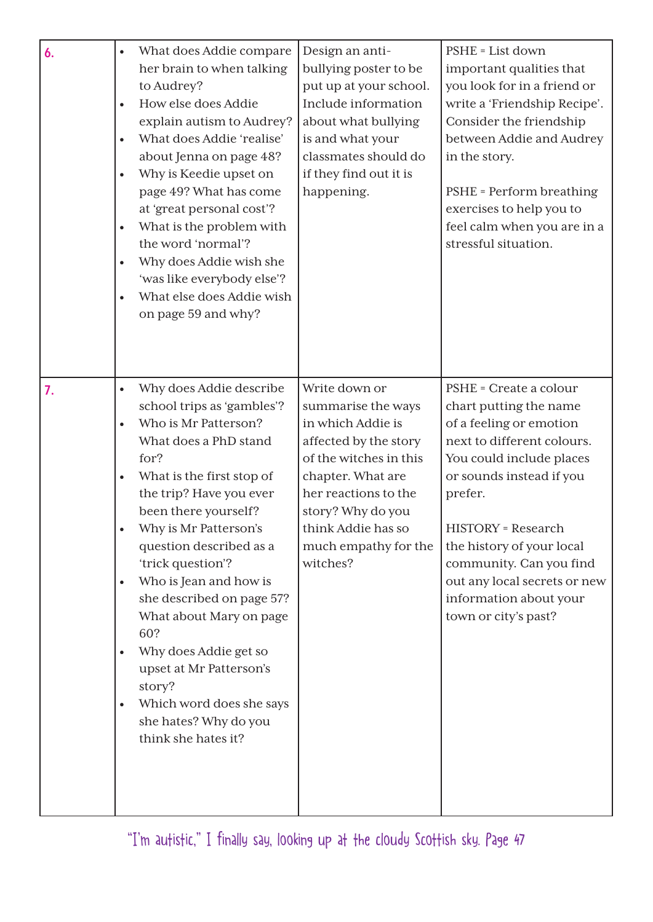| 6. | What does Addie compare<br>$\bullet$<br>her brain to when talking<br>to Audrey?<br>How else does Addie<br>$\bullet$<br>explain autism to Audrey?<br>What does Addie 'realise'<br>$\bullet$<br>about Jenna on page 48?<br>Why is Keedie upset on<br>$\bullet$<br>page 49? What has come<br>at 'great personal cost'?<br>What is the problem with<br>$\bullet$<br>the word 'normal'?<br>Why does Addie wish she<br>$\bullet$<br>'was like everybody else'?<br>What else does Addie wish<br>on page 59 and why?                                                                                          | Design an anti-<br>bullying poster to be<br>put up at your school.<br>Include information<br>about what bullying<br>is and what your<br>classmates should do<br>if they find out it is<br>happening.                                    | PSHE = List down<br>important qualities that<br>you look for in a friend or<br>write a 'Friendship Recipe'.<br>Consider the friendship<br>between Addie and Audrey<br>in the story.<br>PSHE = Perform breathing<br>exercises to help you to<br>feel calm when you are in a<br>stressful situation.                                           |
|----|-------------------------------------------------------------------------------------------------------------------------------------------------------------------------------------------------------------------------------------------------------------------------------------------------------------------------------------------------------------------------------------------------------------------------------------------------------------------------------------------------------------------------------------------------------------------------------------------------------|-----------------------------------------------------------------------------------------------------------------------------------------------------------------------------------------------------------------------------------------|----------------------------------------------------------------------------------------------------------------------------------------------------------------------------------------------------------------------------------------------------------------------------------------------------------------------------------------------|
| 7. | Why does Addie describe<br>$\bullet$<br>school trips as 'gambles'?<br>Who is Mr Patterson?<br>$\bullet$<br>What does a PhD stand<br>for?<br>What is the first stop of<br>$\bullet$<br>the trip? Have you ever<br>been there yourself?<br>Why is Mr Patterson's<br>$\bullet$<br>question described as a<br>'trick question'?<br>Who is Jean and how is<br>$\bullet$<br>she described on page 57?<br>What about Mary on page<br>60?<br>Why does Addie get so<br>$\bullet$<br>upset at Mr Patterson's<br>story?<br>Which word does she says<br>$\bullet$<br>she hates? Why do you<br>think she hates it? | Write down or<br>summarise the ways<br>in which Addie is<br>affected by the story<br>of the witches in this<br>chapter. What are<br>her reactions to the<br>story? Why do you<br>think Addie has so<br>much empathy for the<br>witches? | PSHE = Create a colour<br>chart putting the name<br>of a feeling or emotion<br>next to different colours.<br>You could include places<br>or sounds instead if you<br>prefer.<br>HISTORY = Research<br>the history of your local<br>community. Can you find<br>out any local secrets or new<br>information about your<br>town or city's past? |

"I'm autistic," I finally say, looking up at the cloudy Scottish sky. Page 47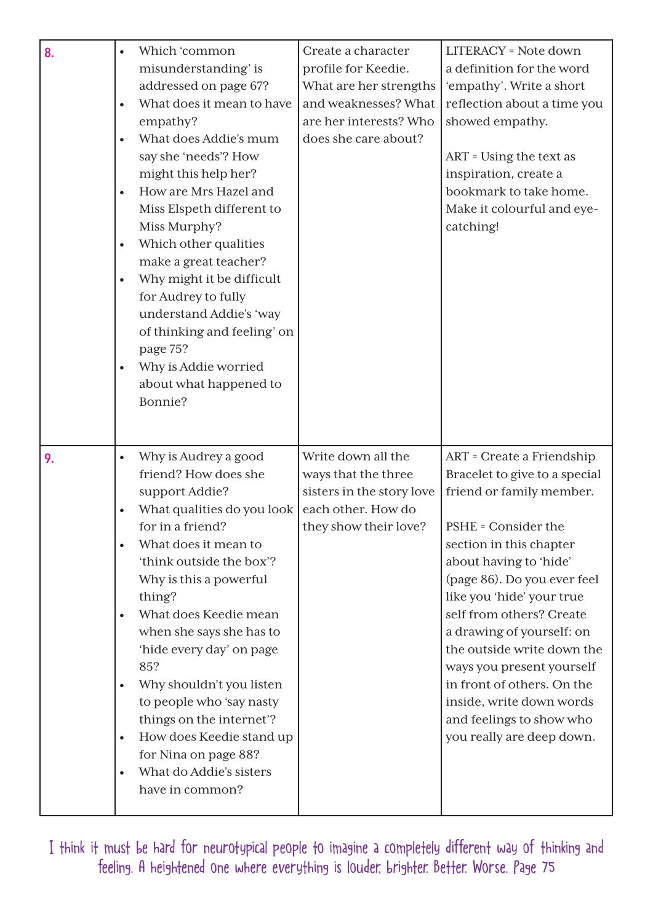| 8. | Which 'common<br>$\bullet$<br>misunderstanding' is<br>addressed on page 67?<br>What does it mean to have<br>$\bullet$<br>empathy?<br>What does Addie's mum<br>say she 'needs'? How<br>might this help her?<br>How are Mrs Hazel and<br>Miss Elspeth different to<br>Miss Murphy?<br>Which other qualities<br>$\bullet$<br>make a great teacher?<br>Why might it be difficult<br>$\bullet$<br>for Audrey to fully<br>understand Addie's 'way<br>of thinking and feeling' on<br>page 75?<br>Why is Addie worried<br>$\bullet$<br>about what happened to<br>Bonnie?     | Create a character<br>profile for Keedie.<br>What are her strengths<br>and weaknesses? What<br>are her interests? Who<br>does she care about? | LITERACY = Note down<br>a definition for the word<br>'empathy'. Write a short<br>reflection about a time you<br>showed empathy.<br>ART = Using the text as<br>inspiration, create a<br>bookmark to take home.<br>Make it colourful and eye-<br>catching!                                                                                                                                                                                                              |
|----|----------------------------------------------------------------------------------------------------------------------------------------------------------------------------------------------------------------------------------------------------------------------------------------------------------------------------------------------------------------------------------------------------------------------------------------------------------------------------------------------------------------------------------------------------------------------|-----------------------------------------------------------------------------------------------------------------------------------------------|-----------------------------------------------------------------------------------------------------------------------------------------------------------------------------------------------------------------------------------------------------------------------------------------------------------------------------------------------------------------------------------------------------------------------------------------------------------------------|
| 9. | Why is Audrey a good<br>$\bullet$<br>friend? How does she<br>support Addie?<br>What qualities do you look<br>$\bullet$<br>for in a friend?<br>What does it mean to<br>'think outside the box'?<br>Why is this a powerful<br>thing?<br>What does Keedie mean<br>$\bullet$<br>when she says she has to<br>'hide every day' on page<br>85?<br>Why shouldn't you listen<br>$\bullet$<br>to people who 'say nasty<br>things on the internet'?<br>How does Keedie stand up<br>$\bullet$<br>for Nina on page 88?<br>What do Addie's sisters<br>$\bullet$<br>have in common? | Write down all the<br>ways that the three<br>sisters in the story love<br>each other. How do<br>they show their love?                         | ART = Create a Friendship<br>Bracelet to give to a special<br>friend or family member.<br>PSHE = Consider the<br>section in this chapter<br>about having to 'hide'<br>(page 86). Do you ever feel<br>like you 'hide' your true<br>self from others? Create<br>a drawing of yourself: on<br>the outside write down the<br>ways you present yourself<br>in front of others. On the<br>inside, write down words<br>and feelings to show who<br>you really are deep down. |

I think it must be hard for neurotypical people to imagine a completely different way of thinking and feeling. A heightened one where everything is louder, brighter. Better. Worse. Page 75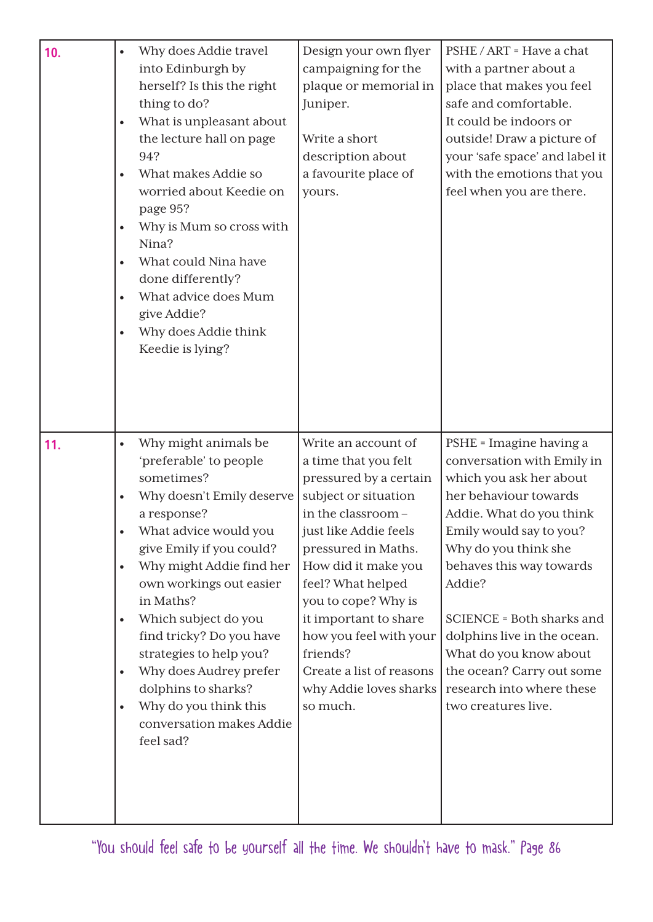| 10. | $\bullet$<br>$\bullet$<br>$\bullet$<br>$\bullet$<br>$\bullet$<br>$\bullet$ | Why does Addie travel<br>into Edinburgh by<br>herself? Is this the right<br>thing to do?<br>What is unpleasant about<br>the lecture hall on page<br>94?<br>What makes Addie so<br>worried about Keedie on<br>page 95?<br>Why is Mum so cross with<br>Nina?<br>What could Nina have<br>done differently?<br>What advice does Mum<br>give Addie?<br>Why does Addie think<br>Keedie is lying?                                          | Design your own flyer<br>campaigning for the<br>plaque or memorial in<br>Juniper.<br>Write a short<br>description about<br>a favourite place of<br>yours.                                                                                                                                                                                                              | PSHE / ART = Have a chat<br>with a partner about a<br>place that makes you feel<br>safe and comfortable.<br>It could be indoors or<br>outside! Draw a picture of<br>your 'safe space' and label it<br>with the emotions that you<br>feel when you are there.                                                                                                                                          |
|-----|----------------------------------------------------------------------------|-------------------------------------------------------------------------------------------------------------------------------------------------------------------------------------------------------------------------------------------------------------------------------------------------------------------------------------------------------------------------------------------------------------------------------------|------------------------------------------------------------------------------------------------------------------------------------------------------------------------------------------------------------------------------------------------------------------------------------------------------------------------------------------------------------------------|-------------------------------------------------------------------------------------------------------------------------------------------------------------------------------------------------------------------------------------------------------------------------------------------------------------------------------------------------------------------------------------------------------|
| 11. | $\bullet$<br>$\bullet$<br>$\bullet$<br>$\bullet$<br>$\bullet$<br>$\bullet$ | Why might animals be<br>'preferable' to people<br>sometimes?<br>Why doesn't Emily deserve<br>a response?<br>What advice would you<br>give Emily if you could?<br>Why might Addie find her<br>own workings out easier<br>in Maths?<br>Which subject do you<br>find tricky? Do you have<br>strategies to help you?<br>Why does Audrey prefer<br>dolphins to sharks?<br>Why do you think this<br>conversation makes Addie<br>feel sad? | Write an account of<br>a time that you felt<br>pressured by a certain<br>subject or situation<br>in the classroom-<br>just like Addie feels<br>pressured in Maths.<br>How did it make you<br>feel? What helped<br>you to cope? Why is<br>it important to share<br>how you feel with your<br>friends?<br>Create a list of reasons<br>why Addie loves sharks<br>so much. | PSHE = Imagine having a<br>conversation with Emily in<br>which you ask her about<br>her behaviour towards<br>Addie. What do you think<br>Emily would say to you?<br>Why do you think she<br>behaves this way towards<br>Addie?<br>SCIENCE = Both sharks and<br>dolphins live in the ocean.<br>What do you know about<br>the ocean? Carry out some<br>research into where these<br>two creatures live. |

"You should feel safe to be yourself all the time. We shouldn't have to mask." Page 86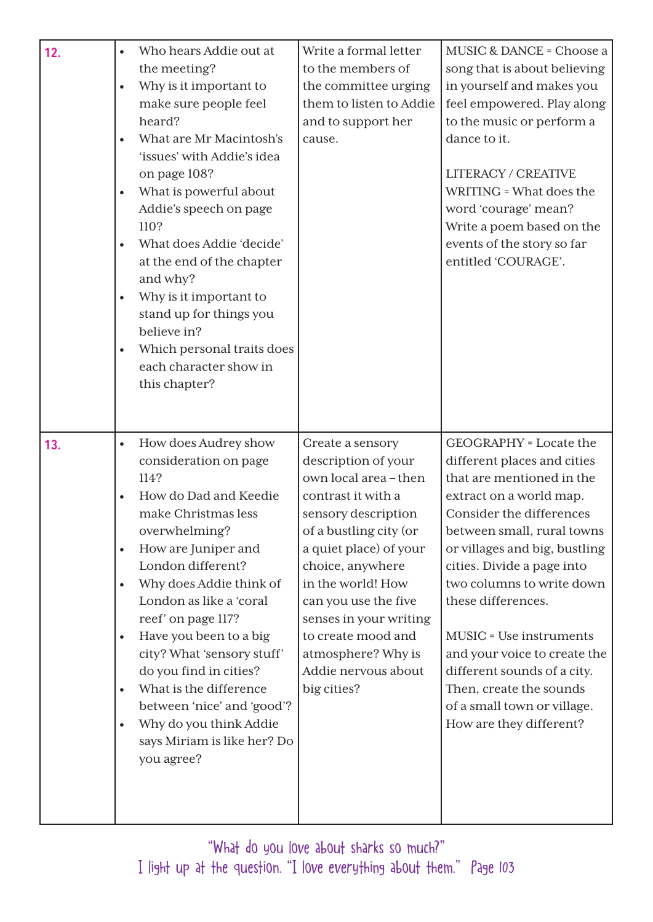| 12. | Who hears Addie out at<br>$\bullet$<br>the meeting?<br>Why is it important to<br>make sure people feel<br>heard?<br>What are Mr Macintosh's<br>'issues' with Addie's idea<br>on page 108?<br>What is powerful about<br>Addie's speech on page<br>110?<br>What does Addie 'decide'<br>at the end of the chapter<br>and why?<br>Why is it important to<br>stand up for things you<br>believe in?<br>Which personal traits does<br>each character show in<br>this chapter?                                                                                    | Write a formal letter<br>to the members of<br>the committee urging<br>them to listen to Addie<br>and to support her<br>cause.                                                                                                                                                                                                                  | MUSIC & DANCE = Choose a<br>song that is about believing<br>in yourself and makes you<br>feel empowered. Play along<br>to the music or perform a<br>dance to it.<br><b>LITERACY / CREATIVE</b><br>WRITING = What does the<br>word 'courage' mean?<br>Write a poem based on the<br>events of the story so far<br>entitled 'COURAGE'.                                                                                                                                                    |
|-----|------------------------------------------------------------------------------------------------------------------------------------------------------------------------------------------------------------------------------------------------------------------------------------------------------------------------------------------------------------------------------------------------------------------------------------------------------------------------------------------------------------------------------------------------------------|------------------------------------------------------------------------------------------------------------------------------------------------------------------------------------------------------------------------------------------------------------------------------------------------------------------------------------------------|----------------------------------------------------------------------------------------------------------------------------------------------------------------------------------------------------------------------------------------------------------------------------------------------------------------------------------------------------------------------------------------------------------------------------------------------------------------------------------------|
| 13. | How does Audrey show<br>$\bullet$<br>consideration on page<br>114?<br>How do Dad and Keedie<br>$\bullet$<br>make Christmas less<br>overwhelming?<br>How are Juniper and<br>$\bullet$<br>London different?<br>Why does Addie think of<br>$\bullet$<br>London as like a 'coral<br>reef' on page 117?<br>Have you been to a big<br>$\bullet$<br>city? What 'sensory stuff'<br>do you find in cities?<br>What is the difference<br>$\bullet$<br>between 'nice' and 'good'?<br>Why do you think Addie<br>$\bullet$<br>says Miriam is like her? Do<br>you agree? | Create a sensory<br>description of your<br>own local area - then<br>contrast it with a<br>sensory description<br>of a bustling city (or<br>a quiet place) of your<br>choice, anywhere<br>in the world! How<br>can you use the five<br>senses in your writing<br>to create mood and<br>atmosphere? Why is<br>Addie nervous about<br>big cities? | <b>GEOGRAPHY</b> = Locate the<br>different places and cities<br>that are mentioned in the<br>extract on a world map.<br>Consider the differences<br>between small, rural towns<br>or villages and big, bustling<br>cities. Divide a page into<br>two columns to write down<br>these differences.<br><b>MUSIC</b> = Use instruments<br>and your voice to create the<br>different sounds of a city.<br>Then, create the sounds<br>of a small town or village.<br>How are they different? |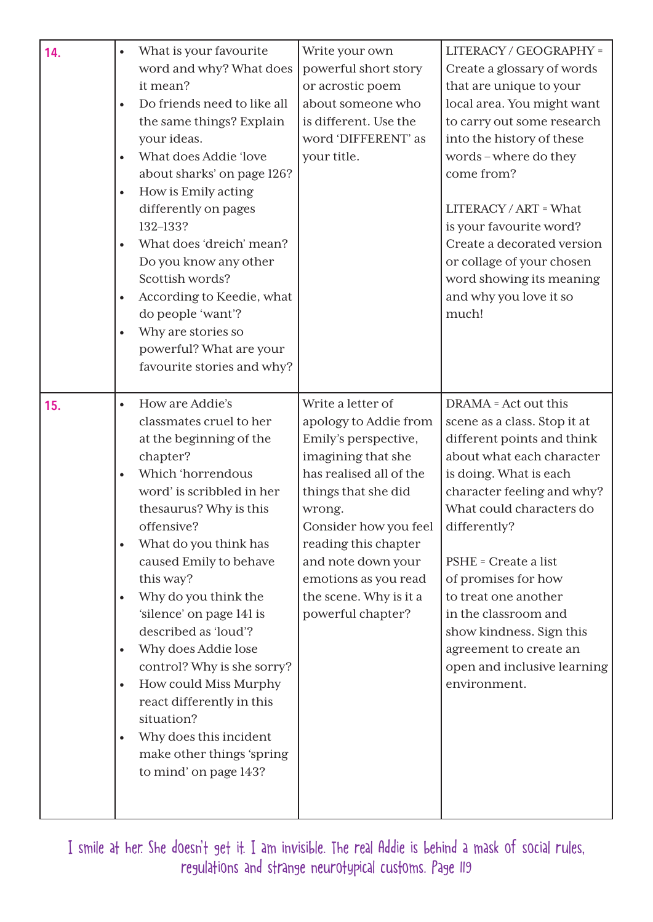| 14. | $\bullet$<br>$\bullet$<br>$\bullet$<br>$\bullet$<br>$\bullet$<br>$\bullet$<br>$\bullet$ | What is your favourite<br>word and why? What does<br>it mean?<br>Do friends need to like all<br>the same things? Explain<br>your ideas.<br>What does Addie 'love<br>about sharks' on page 126?<br>How is Emily acting<br>differently on pages<br>132-133?<br>What does 'dreich' mean?<br>Do you know any other<br>Scottish words?<br>According to Keedie, what<br>do people 'want'?<br>Why are stories so<br>powerful? What are your<br>favourite stories and why?                                                               | Write your own<br>powerful short story<br>or acrostic poem<br>about someone who<br>is different. Use the<br>word 'DIFFERENT' as<br>your title.                                                                                                                                                     | LITERACY / GEOGRAPHY =<br>Create a glossary of words<br>that are unique to your<br>local area. You might want<br>to carry out some research<br>into the history of these<br>words-where do they<br>come from?<br>LITERACY / ART = What<br>is your favourite word?<br>Create a decorated version<br>or collage of your chosen<br>word showing its meaning<br>and why you love it so<br>much!                             |
|-----|-----------------------------------------------------------------------------------------|----------------------------------------------------------------------------------------------------------------------------------------------------------------------------------------------------------------------------------------------------------------------------------------------------------------------------------------------------------------------------------------------------------------------------------------------------------------------------------------------------------------------------------|----------------------------------------------------------------------------------------------------------------------------------------------------------------------------------------------------------------------------------------------------------------------------------------------------|-------------------------------------------------------------------------------------------------------------------------------------------------------------------------------------------------------------------------------------------------------------------------------------------------------------------------------------------------------------------------------------------------------------------------|
| 15. | $\bullet$<br>$\bullet$<br>$\bullet$<br>$\bullet$<br>$\bullet$<br>$\bullet$<br>$\bullet$ | How are Addie's<br>classmates cruel to her<br>at the beginning of the<br>chapter?<br>Which 'horrendous<br>word' is scribbled in her<br>thesaurus? Why is this<br>offensive?<br>What do you think has<br>caused Emily to behave<br>this way?<br>Why do you think the<br>'silence' on page 141 is<br>described as 'loud'?<br>Why does Addie lose<br>control? Why is she sorry?<br>How could Miss Murphy<br>react differently in this<br>situation?<br>Why does this incident<br>make other things 'spring<br>to mind' on page 143? | Write a letter of<br>apology to Addie from<br>Emily's perspective,<br>imagining that she<br>has realised all of the<br>things that she did<br>wrong.<br>Consider how you feel<br>reading this chapter<br>and note down your<br>emotions as you read<br>the scene. Why is it a<br>powerful chapter? | DRAMA = Act out this<br>scene as a class. Stop it at<br>different points and think<br>about what each character<br>is doing. What is each<br>character feeling and why?<br>What could characters do<br>differently?<br>PSHE = Create a list<br>of promises for how<br>to treat one another<br>in the classroom and<br>show kindness. Sign this<br>agreement to create an<br>open and inclusive learning<br>environment. |

I smile at her. She doesn't get it. I am invisible. The real Addie is behind a mask of social rules, regulations and strange neurotypical customs. Page 119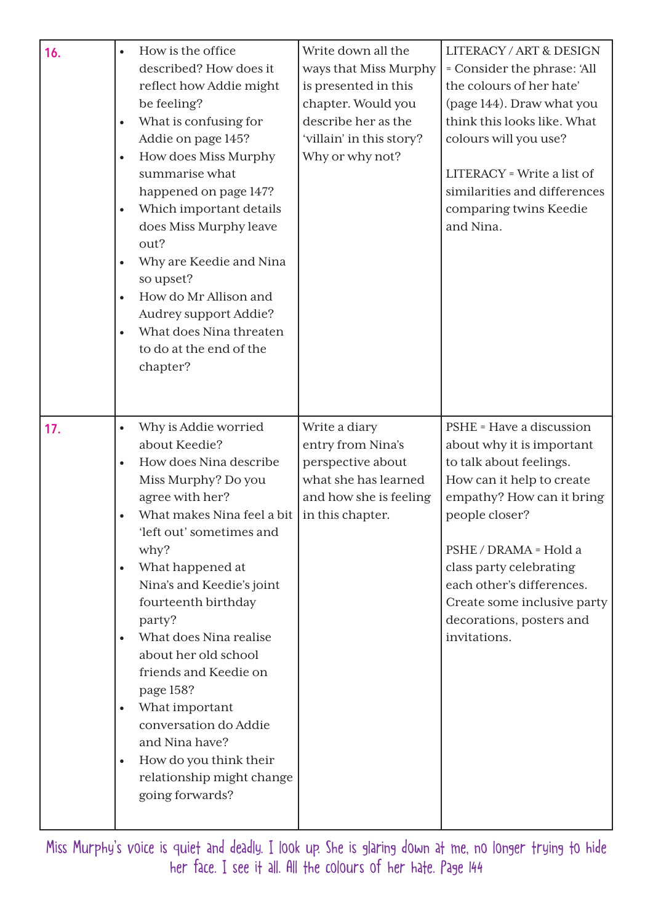| 16. | How is the office<br>described? How does it<br>reflect how Addie might<br>be feeling?<br>What is confusing for<br>$\bullet$<br>Addie on page 145?<br>How does Miss Murphy<br>$\bullet$<br>summarise what<br>happened on page 147?<br>Which important details<br>$\bullet$<br>does Miss Murphy leave<br>out?<br>Why are Keedie and Nina<br>$\bullet$<br>so upset?<br>How do Mr Allison and<br>$\bullet$<br>Audrey support Addie?<br>What does Nina threaten<br>to do at the end of the<br>chapter?                                                             | Write down all the<br>ways that Miss Murphy<br>is presented in this<br>chapter. Would you<br>describe her as the<br>'villain' in this story?<br>Why or why not? | <b>LITERACY / ART &amp; DESIGN</b><br>= Consider the phrase: 'All<br>the colours of her hate'<br>(page 144). Draw what you<br>think this looks like. What<br>colours will you use?<br>LITERACY = Write a list of<br>similarities and differences<br>comparing twins Keedie<br>and Nina.                                  |
|-----|---------------------------------------------------------------------------------------------------------------------------------------------------------------------------------------------------------------------------------------------------------------------------------------------------------------------------------------------------------------------------------------------------------------------------------------------------------------------------------------------------------------------------------------------------------------|-----------------------------------------------------------------------------------------------------------------------------------------------------------------|--------------------------------------------------------------------------------------------------------------------------------------------------------------------------------------------------------------------------------------------------------------------------------------------------------------------------|
| 17. | Why is Addie worried<br>$\bullet$<br>about Keedie?<br>How does Nina describe<br>Miss Murphy? Do you<br>agree with her?<br>What makes Nina feel a bit<br>'left out' sometimes and<br>why?<br>What happened at<br>$\bullet$<br>Nina's and Keedie's joint<br>fourteenth birthday<br>party?<br>What does Nina realise<br>$\bullet$<br>about her old school<br>friends and Keedie on<br>page 158?<br>What important<br>$\bullet$<br>conversation do Addie<br>and Nina have?<br>How do you think their<br>$\bullet$<br>relationship might change<br>going forwards? | Write a diary<br>entry from Nina's<br>perspective about<br>what she has learned<br>and how she is feeling<br>in this chapter.                                   | PSHE = Have a discussion<br>about why it is important<br>to talk about feelings.<br>How can it help to create<br>empathy? How can it bring<br>people closer?<br>PSHE / DRAMA = Hold a<br>class party celebrating<br>each other's differences.<br>Create some inclusive party<br>decorations, posters and<br>invitations. |

Miss Murphy's voice is quiet and deadly. I look up. She is glaring down at me, no longer trying to hide her face. I see it all. All the colours of her hate. Page 144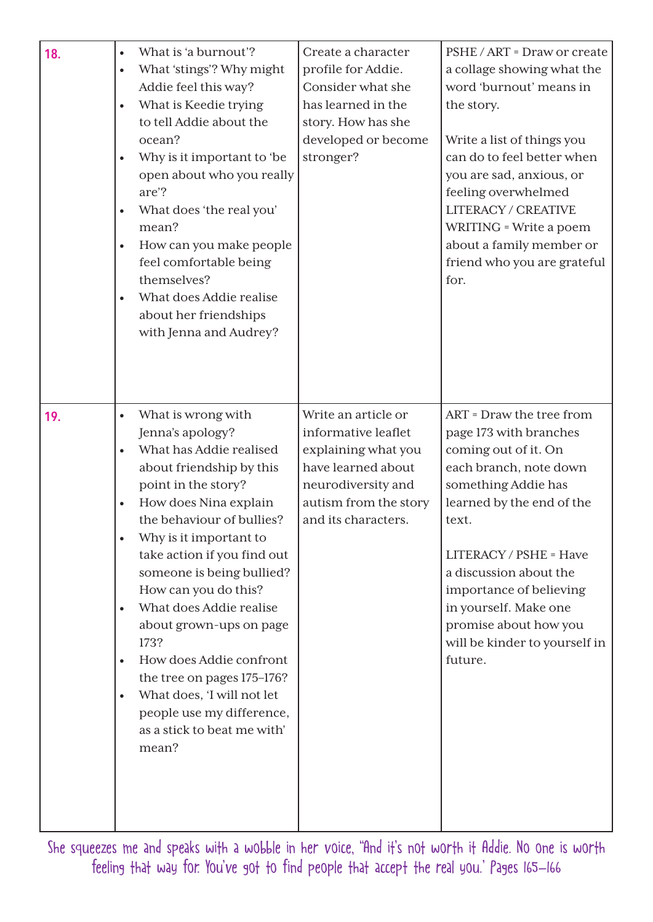| 18. | What is 'a burnout'?<br>$\bullet$<br>What 'stings'? Why might<br>$\bullet$<br>Addie feel this way?<br>What is Keedie trying<br>$\bullet$<br>to tell Addie about the<br>ocean?<br>Why is it important to 'be<br>$\bullet$<br>open about who you really<br>are'?<br>What does 'the real you'<br>$\bullet$<br>mean?<br>How can you make people<br>$\bullet$<br>feel comfortable being<br>themselves?<br>What does Addie realise<br>$\bullet$<br>about her friendships<br>with Jenna and Audrey?                                                                                                     | Create a character<br>profile for Addie.<br>Consider what she<br>has learned in the<br>story. How has she<br>developed or become<br>stronger?                 | PSHE / ART = Draw or create<br>a collage showing what the<br>word 'burnout' means in<br>the story.<br>Write a list of things you<br>can do to feel better when<br>you are sad, anxious, or<br>feeling overwhelmed<br>LITERACY / CREATIVE<br>WRITING = Write a poem<br>about a family member or<br>friend who you are grateful<br>for.          |
|-----|--------------------------------------------------------------------------------------------------------------------------------------------------------------------------------------------------------------------------------------------------------------------------------------------------------------------------------------------------------------------------------------------------------------------------------------------------------------------------------------------------------------------------------------------------------------------------------------------------|---------------------------------------------------------------------------------------------------------------------------------------------------------------|------------------------------------------------------------------------------------------------------------------------------------------------------------------------------------------------------------------------------------------------------------------------------------------------------------------------------------------------|
| 19. | What is wrong with<br>$\bullet$<br>Jenna's apology?<br>What has Addie realised<br>$\bullet$<br>about friendship by this<br>point in the story?<br>How does Nina explain<br>$\bullet$<br>the behaviour of bullies?<br>Why is it important to<br>take action if you find out<br>someone is being bullied?<br>How can you do this?<br>What does Addie realise<br>$\bullet$<br>about grown-ups on page<br>173?<br>How does Addie confront<br>$\bullet$<br>the tree on pages 175–176?<br>What does, 'I will not let<br>$\bullet$<br>people use my difference,<br>as a stick to beat me with'<br>mean? | Write an article or<br>informative leaflet<br>explaining what you<br>have learned about<br>neurodiversity and<br>autism from the story<br>and its characters. | ART = Draw the tree from<br>page 173 with branches<br>coming out of it. On<br>each branch, note down<br>something Addie has<br>learned by the end of the<br>text.<br>LITERACY / PSHE = Have<br>a discussion about the<br>importance of believing<br>in yourself. Make one<br>promise about how you<br>will be kinder to yourself in<br>future. |

She squeezes me and speaks with a wobble in her voice, "And it's not worth it Addie. No one is worth feeling that way for. You've got to find people that accept the real you.' Pages 165–166